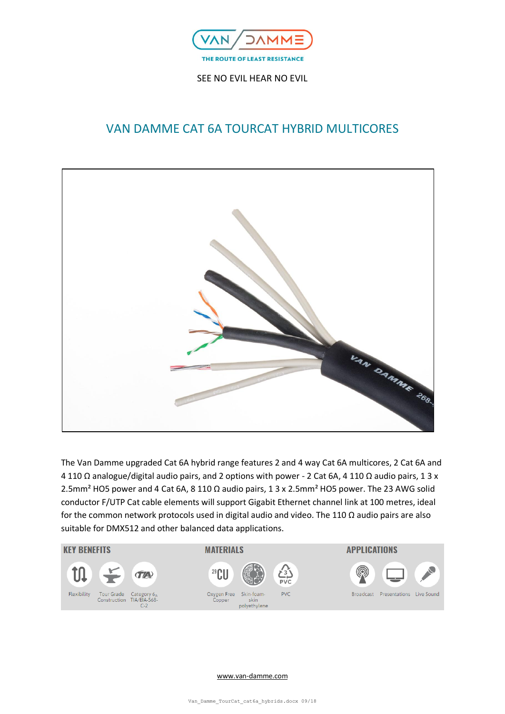

# VAN DAMME CAT 6A TOURCAT HYBRID MULTICORES



The Van Damme upgraded Cat 6A hybrid range features 2 and 4 way Cat 6A multicores, 2 Cat 6A and 4 110 Ω analogue/digital audio pairs, and 2 options with power - 2 Cat 6A, 4 110 Ω audio pairs, 1 3 x 2.5mm² HO5 power and 4 Cat 6A, 8 110 Ω audio pairs, 1 3 x 2.5mm² HO5 power. The 23 AWG solid conductor F/UTP Cat cable elements will support Gigabit Ethernet channel link at 100 metres, ideal for the common network protocols used in digital audio and video. The 110  $\Omega$  audio pairs are also suitable for DMX512 and other balanced data applications.

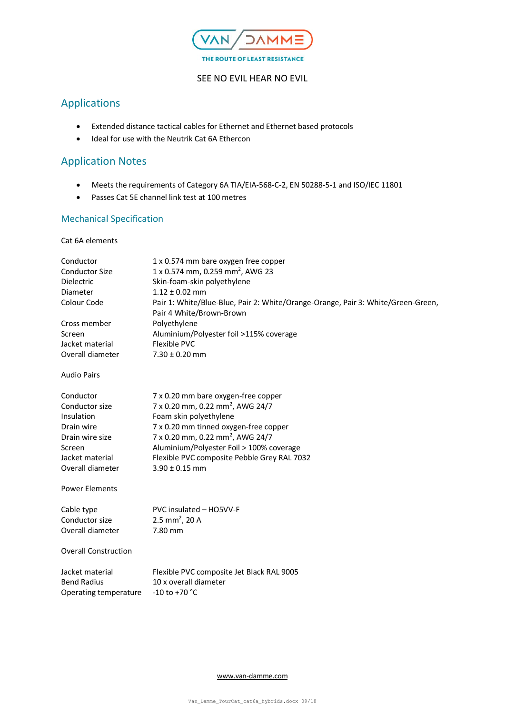

# Applications

- Extended distance tactical cables for Ethernet and Ethernet based protocols
- Ideal for use with the Neutrik Cat 6A Ethercon

# Application Notes

- Meets the requirements of Category 6A TIA/EIA-568-C-2, EN 50288-5-1 and ISO/IEC 11801
- Passes Cat 5E channel link test at 100 metres

# Mechanical Specification

## Cat 6A elements

| Conductor<br><b>Conductor Size</b><br><b>Dielectric</b><br>Diameter<br>Colour Code | 1 x 0.574 mm bare oxygen free copper<br>1 x 0.574 mm, 0.259 mm <sup>2</sup> , AWG 23<br>Skin-foam-skin polyethylene<br>$1.12 \pm 0.02$ mm<br>Pair 1: White/Blue-Blue, Pair 2: White/Orange-Orange, Pair 3: White/Green-Green,<br>Pair 4 White/Brown-Brown |
|------------------------------------------------------------------------------------|-----------------------------------------------------------------------------------------------------------------------------------------------------------------------------------------------------------------------------------------------------------|
| Cross member                                                                       | Polyethylene                                                                                                                                                                                                                                              |
| Screen                                                                             | Aluminium/Polyester foil >115% coverage                                                                                                                                                                                                                   |
| Jacket material                                                                    | Flexible PVC                                                                                                                                                                                                                                              |
| Overall diameter                                                                   | $7.30 \pm 0.20$ mm                                                                                                                                                                                                                                        |
| <b>Audio Pairs</b>                                                                 |                                                                                                                                                                                                                                                           |
| Conductor                                                                          | 7 x 0.20 mm bare oxygen-free copper                                                                                                                                                                                                                       |
| Conductor size                                                                     | 7 x 0.20 mm, 0.22 mm <sup>2</sup> , AWG 24/7                                                                                                                                                                                                              |
| Insulation                                                                         | Foam skin polyethylene                                                                                                                                                                                                                                    |
| Drain wire                                                                         | 7 x 0.20 mm tinned oxygen-free copper                                                                                                                                                                                                                     |
| Drain wire size                                                                    | 7 x 0.20 mm, 0.22 mm <sup>2</sup> , AWG 24/7                                                                                                                                                                                                              |
| Screen                                                                             | Aluminium/Polyester Foil > 100% coverage                                                                                                                                                                                                                  |
| Jacket material                                                                    | Flexible PVC composite Pebble Grey RAL 7032                                                                                                                                                                                                               |
| Overall diameter                                                                   | $3.90 \pm 0.15$ mm                                                                                                                                                                                                                                        |
| <b>Power Elements</b>                                                              |                                                                                                                                                                                                                                                           |
| Cable type                                                                         | PVC insulated - HO5VV-F                                                                                                                                                                                                                                   |
| Conductor size                                                                     | 2.5 mm <sup>2</sup> , 20 A                                                                                                                                                                                                                                |
| Overall diameter                                                                   | 7.80 mm                                                                                                                                                                                                                                                   |
| <b>Overall Construction</b>                                                        |                                                                                                                                                                                                                                                           |
| Jacket material                                                                    | Flexible PVC composite Jet Black RAL 9005                                                                                                                                                                                                                 |
| <b>Bend Radius</b>                                                                 | 10 x overall diameter                                                                                                                                                                                                                                     |
| Operating temperature                                                              | $-10$ to $+70$ °C                                                                                                                                                                                                                                         |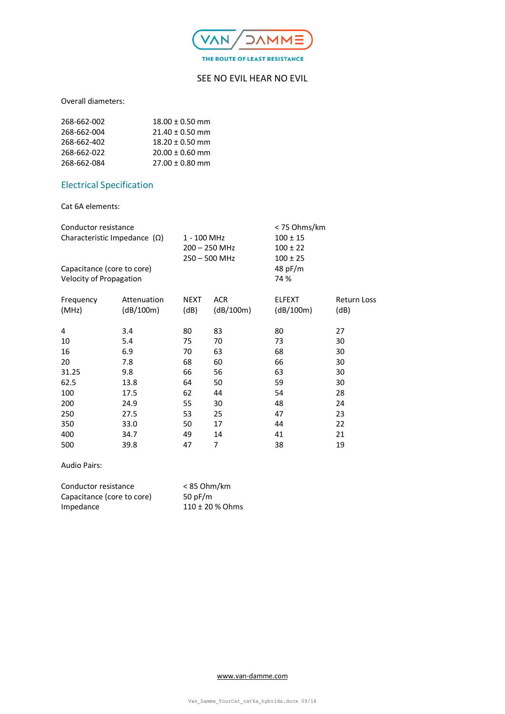

Overall diameters:

| 268-662-002 | $18.00 \pm 0.50$ mm |
|-------------|---------------------|
| 268-662-004 | $21.40 \pm 0.50$ mm |
| 268-662-402 | $18.20 \pm 0.50$ mm |
| 268-662-022 | $20.00 \pm 0.60$ mm |
| 268-662-084 | $27.00 \pm 0.80$ mm |

# Electrical Specification

Cat 6A elements:

| Conductor resistance                |             |                 |            | < 75 Ohms/km  |             |
|-------------------------------------|-------------|-----------------|------------|---------------|-------------|
| Characteristic Impedance $(\Omega)$ |             | 1 - 100 MHz     |            | $100 \pm 15$  |             |
|                                     |             | $200 - 250$ MHz |            | $100 \pm 22$  |             |
|                                     |             | $250 - 500$ MHz |            | $100 \pm 25$  |             |
| Capacitance (core to core)          |             |                 |            | 48 pF/m       |             |
| Velocity of Propagation             |             |                 |            | 74 %          |             |
|                                     |             |                 |            |               |             |
| Frequency                           | Attenuation | <b>NEXT</b>     | <b>ACR</b> | <b>ELFEXT</b> | Return Loss |
| (MHz)                               | (dB/100m)   | (dB)            | (dB/100m)  | (dB/100m)     | (dB)        |
|                                     |             |                 |            |               |             |
| 4                                   | 3.4         | 80              | 83         | 80            | 27          |
| 10                                  | 5.4         | 75              | 70         | 73            | 30          |
| 16                                  | 6.9         | 70              | 63         | 68            | 30          |
| 20                                  | 7.8         | 68              | 60         | 66            | 30          |
| 31.25                               | 9.8         | 66              | 56         | 63            | 30          |
| 62.5                                | 13.8        | 64              | 50         | 59            | 30          |
| 100                                 | 17.5        | 62              | 44         | 54            | 28          |
| 200                                 | 24.9        | 55              | 30         | 48            | 24          |
| 250                                 | 27.5        | 53              | 25         | 47            | 23          |
| 350                                 | 33.0        | 50              | 17         | 44            | 22          |
| 400                                 | 34.7        | 49              | 14         | 41            | 21          |
| 500                                 | 39.8        | 47              | 7          | 38            | 19          |
|                                     |             |                 |            |               |             |

Audio Pairs:

| Conductor resistance       | $< 85$ Ohm/km       |
|----------------------------|---------------------|
| Capacitance (core to core) | 50 pF/m             |
| Impedance                  | $110 \pm 20$ % Ohms |